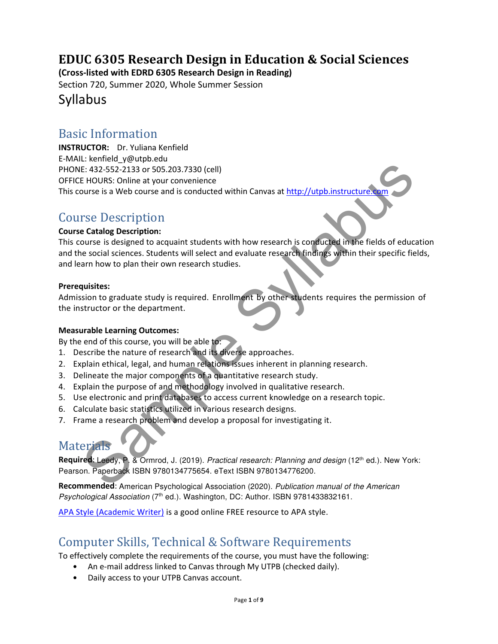# EDUC 6305 Research Design in Education & Social Sciences

(Cross-listed with EDRD 6305 Research Design in Reading)

Section 720, Summer 2020, Whole Summer Session

### Syllabus

### Basic Information

E: 432-552-2133 or 505.203.7330 (cell)<br>
E: 432-552-2133 or 505.203.7330 (cell)<br>
E: 432-552-2133 or 505.203.7330 (cell)<br>
provise is a web course and is conducted within Canvas at http://utpb.instructure.com<br>
provise is desi INSTRUCTOR: Dr. Yuliana Kenfield E-MAIL: kenfield\_y@utpb.edu PHONE: 432-552-2133 or 505.203.7330 (cell) OFFICE HOURS: Online at your convenience This course is a Web course and is conducted within Canvas at http://utpb.instructure

### Course Description

#### Course Catalog Description:

This course is designed to acquaint students with how research is conducted in the fields of education and the social sciences. Students will select and evaluate research findings within their specific fields, and learn how to plan their own research studies.

#### Prerequisites:

Admission to graduate study is required. Enrollment by other students requires the permission of the instructor or the department.

#### Measurable Learning Outcomes:

By the end of this course, you will be able to:

- 1. Describe the nature of research and its diverse approaches.
- 2. Explain ethical, legal, and human relations issues inherent in planning research.
- 3. Delineate the major components of a quantitative research study.
- 4. Explain the purpose of and methodology involved in qualitative research.
- 5. Use electronic and print databases to access current knowledge on a research topic.
- 6. Calculate basic statistics utilized in various research designs.
- 7. Frame a research problem and develop a proposal for investigating it.

### **Materials**

Required: Leedy, P. & Ormrod, J. (2019). Practical research: Planning and design (12<sup>th</sup> ed.). New York: Pearson. Paperback ISBN 9780134775654. eText ISBN 9780134776200.

Recommended: American Psychological Association (2020). Publication manual of the American Psychological Association (7<sup>th</sup> ed.). Washington, DC: Author. ISBN 9781433832161.

APA Style (Academic Writer) is a good online FREE resource to APA style.

## Computer Skills, Technical & Software Requirements

To effectively complete the requirements of the course, you must have the following:

- An e-mail address linked to Canvas through My UTPB (checked daily).
- Daily access to your UTPB Canvas account.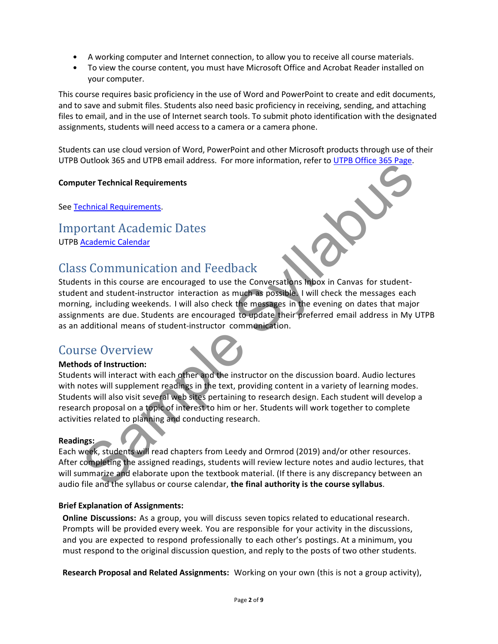- A working computer and Internet connection, to allow you to receive all course materials.
- To view the course content, you must have Microsoft Office and Acrobat Reader installed on your computer.

This course requires basic proficiency in the use of Word and PowerPoint to create and edit documents, and to save and submit files. Students also need basic proficiency in receiving, sending, and attaching files to email, and in the use of Internet search tools. To submit photo identification with the designated assignments, students will need access to a camera or a camera phone.

Students can use cloud version of Word, PowerPoint and other Microsoft products through use of their UTPB Outlook 365 and UTPB email address. For more information, refer to UTPB Office 365 Page.

#### Computer Technical Requirements

See Technical Requirements.

### Important Academic Dates UTPB Academic Calendar

# Class Communication and Feedback

Students in this course are encouraged to use the Conversations Inbox in Canvas for studentstudent and student-instructor interaction as much as possible. I will check the messages each morning, including weekends. I will also check the messages in the evening on dates that major assignments are due. Students are encouraged to update their preferred email address in My UTPB as an additional means of student-instructor communication.

### Course Overview



During the syllabus or content teaching in the teaching in the distinction, the complete the content of the distinct Calendar content Academic Calendar<br>Sample System is this course are encouraged to use the Conversations m Students will interact with each other and the instructor on the discussion board. Audio lectures with notes will supplement readings in the text, providing content in a variety of learning modes. Students will also visit several web sites pertaining to research design. Each student will develop a research proposal on a topic of interest to him or her. Students will work together to complete activities related to planning and conducting research.

#### Readings:

Each week, students will read chapters from Leedy and Ormrod (2019) and/or other resources. After completing the assigned readings, students will review lecture notes and audio lectures, that will summarize and elaborate upon the textbook material. (If there is any discrepancy between an audio file and the syllabus or course calendar, the final authority is the course syllabus.

#### Brief Explanation of Assignments:

Online Discussions: As a group, you will discuss seven topics related to educational research. Prompts will be provided every week. You are responsible for your activity in the discussions, and you are expected to respond professionally to each other's postings. At a minimum, you must respond to the original discussion question, and reply to the posts of two other students.

Research Proposal and Related Assignments: Working on your own (this is not a group activity),

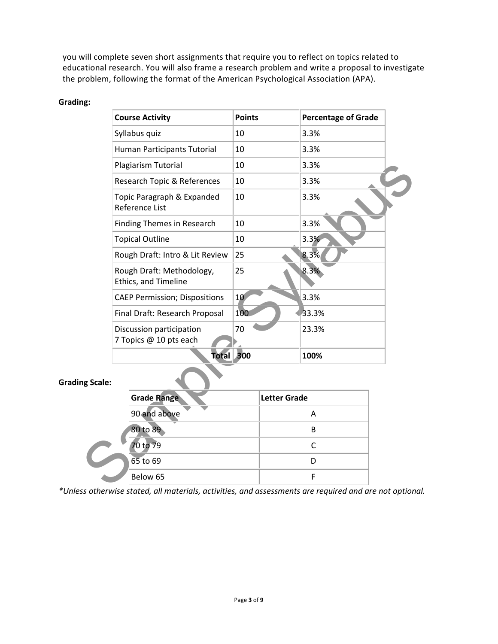you will complete seven short assignments that require you to reflect on topics related to educational research. You will also frame a research problem and write a proposal to investigate the problem, following the format of the American Psychological Association (APA).

#### Grading:

|           | <b>Course Activity</b>                                                                                                                |                                                   | <b>Points</b>   |                     | <b>Percentage of Grade</b> |  |
|-----------|---------------------------------------------------------------------------------------------------------------------------------------|---------------------------------------------------|-----------------|---------------------|----------------------------|--|
|           |                                                                                                                                       | Syllabus quiz                                     | 10              |                     | 3.3%                       |  |
|           |                                                                                                                                       | Human Participants Tutorial                       | 10              |                     | 3.3%                       |  |
|           | Plagiarism Tutorial<br>Research Topic & References                                                                                    |                                                   | 10              |                     | 3.3%                       |  |
|           |                                                                                                                                       |                                                   | 10              |                     | 3.3%                       |  |
|           | Topic Paragraph & Expanded<br>Reference List                                                                                          |                                                   | 10              |                     | 3.3%                       |  |
|           | <b>Finding Themes in Research</b><br><b>Topical Outline</b><br>Rough Draft: Intro & Lit Review                                        |                                                   | 10<br>10<br>25  |                     | 3.3%                       |  |
|           |                                                                                                                                       |                                                   |                 |                     | 3.3%                       |  |
|           |                                                                                                                                       |                                                   |                 |                     | 8.3%                       |  |
|           |                                                                                                                                       | Rough Draft: Methodology,<br>Ethics, and Timeline | 25              |                     | 8.3%                       |  |
|           | <b>CAEP Permission; Dispositions</b><br>Final Draft: Research Proposal<br>Discussion participation<br>7 Topics @ 10 pts each<br>Total |                                                   | 10 <sup>°</sup> |                     | 3.3%                       |  |
|           |                                                                                                                                       |                                                   | 100             |                     | 33.3%                      |  |
|           |                                                                                                                                       |                                                   | 70              |                     | 23.3%                      |  |
|           |                                                                                                                                       |                                                   | 300             |                     | 100%                       |  |
| ng Scale: |                                                                                                                                       |                                                   |                 |                     |                            |  |
|           |                                                                                                                                       | <b>Grade Range</b>                                |                 | <b>Letter Grade</b> |                            |  |
|           |                                                                                                                                       | 90 and above                                      |                 |                     | Α                          |  |
|           |                                                                                                                                       | 80 to 89                                          |                 |                     | B                          |  |
|           |                                                                                                                                       | 70 to 79                                          |                 |                     | $\mathsf C$                |  |
|           |                                                                                                                                       | $65$ to 69                                        |                 |                     | D                          |  |
|           |                                                                                                                                       | Below 65                                          |                 |                     | F                          |  |
|           |                                                                                                                                       |                                                   |                 |                     |                            |  |

#### Grading Scale:

| <b>Grade Range</b> | <b>Letter Grade</b> |
|--------------------|---------------------|
| 90 and above       | А                   |
| 80 to 89           | R                   |
| 70 to 79           |                     |
| $65$ to $69$       |                     |
| Below 65           |                     |

\*Unless otherwise stated, all materials, activities, and assessments are required and are not optional.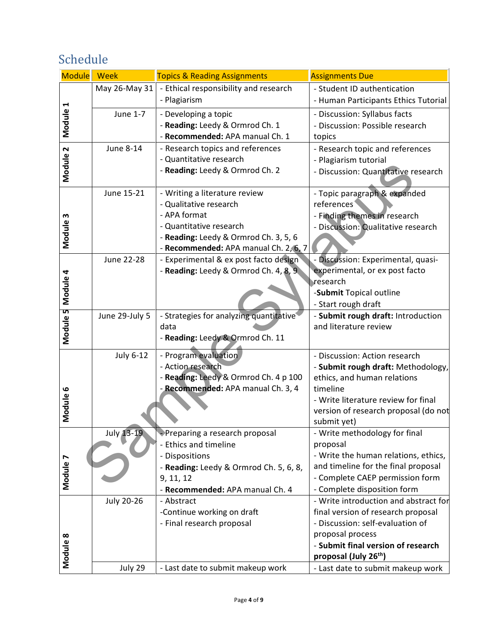# Schedule

| <b>Module</b> | <b>Week</b>       | <b>Topics &amp; Reading Assignments</b>                          | <b>Assignments Due</b>                                                 |
|---------------|-------------------|------------------------------------------------------------------|------------------------------------------------------------------------|
|               | May 26-May 31     | - Ethical responsibility and research                            | - Student ID authentication                                            |
| Module 1      |                   | - Plagiarism                                                     | - Human Participants Ethics Tutorial                                   |
|               | June 1-7          | - Developing a topic                                             | - Discussion: Syllabus facts                                           |
|               |                   | - Reading: Leedy & Ormrod Ch. 1                                  | - Discussion: Possible research                                        |
|               |                   | - Recommended: APA manual Ch. 1                                  | topics                                                                 |
|               | June 8-14         | - Research topics and references                                 | - Research topic and references                                        |
|               |                   | - Quantitative research                                          | - Plagiarism tutorial                                                  |
| Module 2      |                   | - Reading: Leedy & Ormrod Ch. 2                                  | - Discussion: Quantitative research                                    |
|               |                   |                                                                  |                                                                        |
|               | June 15-21        | - Writing a literature review                                    | - Topic paragraph & expanded                                           |
|               |                   | - Qualitative research                                           | references                                                             |
| Module 3      |                   | - APA format                                                     | - Finding themes in research                                           |
|               |                   | - Quantitative research<br>- Reading: Leedy & Ormrod Ch. 3, 5, 6 | - Discussion: Qualitative research                                     |
|               |                   | - Recommended: APA manual Ch. 2, 6, 7                            |                                                                        |
|               | June 22-28        | - Experimental & ex post facto design                            | - Discussion: Experimental, quasi-                                     |
|               |                   | - Reading: Leedy & Ormrod Ch. 4, 8, 9                            | experimental, or ex post facto                                         |
| Module 4      |                   |                                                                  | research                                                               |
|               |                   |                                                                  | -Submit Topical outline                                                |
|               |                   |                                                                  | - Start rough draft                                                    |
|               | June 29-July 5    | - Strategies for analyzing quantitative                          | - Submit rough draft: Introduction                                     |
|               |                   | data                                                             | and literature review                                                  |
| Module 5      |                   | - Reading: Leedy & Ormrod Ch. 11                                 |                                                                        |
|               | <b>July 6-12</b>  | - Program evaluation                                             | - Discussion: Action research                                          |
|               |                   | - Action research                                                | - Submit rough draft: Methodology,                                     |
|               |                   | - Reading: Leedy & Ormrod Ch. 4 p 100                            | ethics, and human relations                                            |
|               |                   | - Recommended: APA manual Ch. 3, 4                               | timeline                                                               |
|               |                   |                                                                  | - Write literature review for final                                    |
| Module 6      |                   |                                                                  | version of research proposal (do not                                   |
|               |                   |                                                                  | submit yet)                                                            |
|               | <b>July 13-19</b> | Preparing a research proposal                                    | - Write methodology for final                                          |
|               |                   | - Ethics and timeline                                            | proposal                                                               |
|               |                   | - Dispositions                                                   | - Write the human relations, ethics,                                   |
|               |                   | - Reading: Leedy & Ormrod Ch. 5, 6, 8,                           | and timeline for the final proposal                                    |
| Module 7      |                   | 9, 11, 12                                                        | - Complete CAEP permission form                                        |
|               |                   | - Recommended: APA manual Ch. 4                                  | - Complete disposition form                                            |
|               | <b>July 20-26</b> | - Abstract                                                       | - Write introduction and abstract for                                  |
|               |                   | -Continue working on draft                                       | final version of research proposal<br>- Discussion: self-evaluation of |
|               |                   | - Final research proposal                                        | proposal process                                                       |
|               |                   |                                                                  | - Submit final version of research                                     |
| Module 8      |                   |                                                                  | proposal (July 26 <sup>th</sup> )                                      |
|               | July 29           | - Last date to submit makeup work                                | - Last date to submit makeup work                                      |
|               |                   |                                                                  |                                                                        |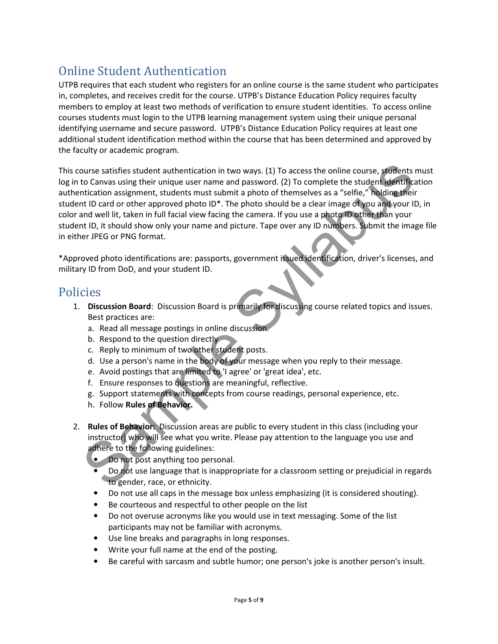# Online Student Authentication

UTPB requires that each student who registers for an online course is the same student who participates in, completes, and receives credit for the course. UTPB's Distance Education Policy requires faculty members to employ at least two methods of verification to ensure student identities. To access online courses students must login to the UTPB learning management system using their unique personal identifying username and secure password. UTPB's Distance Education Policy requires at least one additional student identification method within the course that has been determined and approved by the faculty or academic program.

ourse satisfies student authentication in two ways. (1) To access the online course, students mutidized to Canvas using their unique user name and password. (2) To complete the student identification assignment, students m This course satisfies student authentication in two ways. (1) To access the online course, students must log in to Canvas using their unique user name and password. (2) To complete the student identification authentication assignment, students must submit a photo of themselves as a "selfie," holding their student ID card or other approved photo ID\*. The photo should be a clear image of you and your ID, in color and well lit, taken in full facial view facing the camera. If you use a photo ID other than your student ID, it should show only your name and picture. Tape over any ID numbers. Submit the image file in either JPEG or PNG format.

\*Approved photo identifications are: passports, government issued identification, driver's licenses, and military ID from DoD, and your student ID.

### Policies

- 1. Discussion Board: Discussion Board is primarily for discussing course related topics and issues. Best practices are:
	- a. Read all message postings in online discussion.
	- b. Respond to the question directly
	- c. Reply to minimum of two other student posts.
	- d. Use a person's name in the body of your message when you reply to their message.
	- e. Avoid postings that are limited to 'I agree' or 'great idea', etc.
	- f. Ensure responses to questions are meaningful, reflective.
	- g. Support statements with concepts from course readings, personal experience, etc.
	- h. Follow Rules of Behavior.
- 2. Rules of Behavior: Discussion areas are public to every student in this class (including your instructor) who will see what you write. Please pay attention to the language you use and adhere to the following guidelines:
	- Do not post anything too personal.
	- Do not use language that is inappropriate for a classroom setting or prejudicial in regards to gender, race, or ethnicity.
	- Do not use all caps in the message box unless emphasizing (it is considered shouting).
	- Be courteous and respectful to other people on the list
	- Do not overuse acronyms like you would use in text messaging. Some of the list participants may not be familiar with acronyms.
	- Use line breaks and paragraphs in long responses.
	- Write your full name at the end of the posting.
	- Be careful with sarcasm and subtle humor; one person's joke is another person's insult.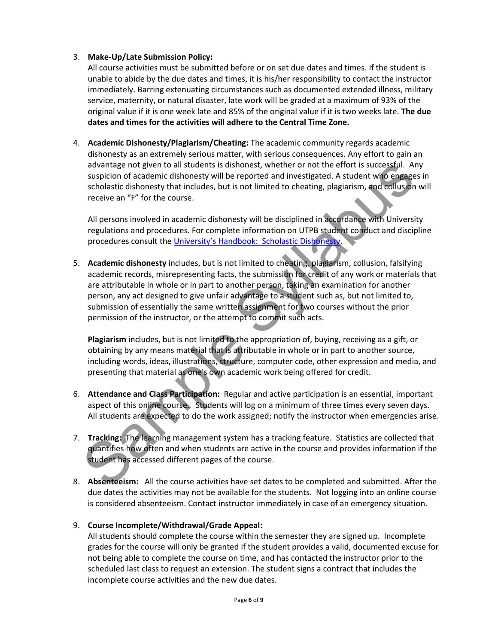#### 3. Make-Up/Late Submission Policy:

All course activities must be submitted before or on set due dates and times. If the student is unable to abide by the due dates and times, it is his/her responsibility to contact the instructor immediately. Barring extenuating circumstances such as documented extended illness, military service, maternity, or natural disaster, late work will be graded at a maximum of 93% of the original value if it is one week late and 85% of the original value if it is two weeks late. The due dates and times for the activities will adhere to the Central Time Zone.

4. Academic Dishonesty/Plagiarism/Cheating: The academic community regards academic dishonesty as an extremely serious matter, with serious consequences. Any effort to gain an advantage not given to all students is dishonest, whether or not the effort is successful. Any suspicion of academic dishonesty will be reported and investigated. A student who engages in scholastic dishonesty that includes, but is not limited to cheating, plagiarism, and collusion will receive an "F" for the course.

All persons involved in academic dishonesty will be disciplined in accordance with University regulations and procedures. For complete information on UTPB student conduct and discipline procedures consult the University's Handbook: Scholastic Dishonesty.

advantage not given to all students is dishonest, whether or not the effort is successful. Any<br>suspicion of academic dishonesty will be reported and investigated. A student who engages is<br>cholastic dishonesty that includes 5. Academic dishonesty includes, but is not limited to cheating, plagiarism, collusion, falsifying academic records, misrepresenting facts, the submission for credit of any work or materials that are attributable in whole or in part to another person, taking an examination for another person, any act designed to give unfair advantage to a student such as, but not limited to, submission of essentially the same written assignment for two courses without the prior permission of the instructor, or the attempt to commit such acts.

Plagiarism includes, but is not limited to the appropriation of, buying, receiving as a gift, or obtaining by any means material that is attributable in whole or in part to another source, including words, ideas, illustrations, structure, computer code, other expression and media, and presenting that material as one's own academic work being offered for credit.

- 6. Attendance and Class Participation: Regular and active participation is an essential, important aspect of this online course. Students will log on a minimum of three times every seven days. All students are expected to do the work assigned; notify the instructor when emergencies arise.
- 7. Tracking: The learning management system has a tracking feature. Statistics are collected that quantifies how often and when students are active in the course and provides information if the student has accessed different pages of the course.
- 8. Absenteeism: All the course activities have set dates to be completed and submitted. After the due dates the activities may not be available for the students. Not logging into an online course is considered absenteeism. Contact instructor immediately in case of an emergency situation.

#### 9. Course Incomplete/Withdrawal/Grade Appeal:

All students should complete the course within the semester they are signed up. Incomplete grades for the course will only be granted if the student provides a valid, documented excuse for not being able to complete the course on time, and has contacted the instructor prior to the scheduled last class to request an extension. The student signs a contract that includes the incomplete course activities and the new due dates.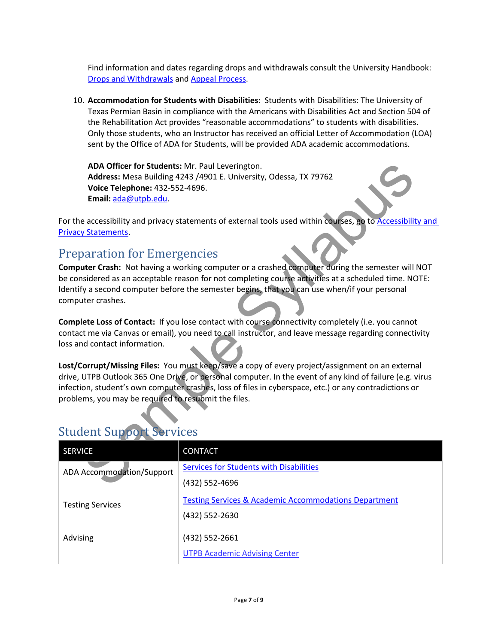Find information and dates regarding drops and withdrawals consult the University Handbook: Drops and Withdrawals and Appeal Process.

10. Accommodation for Students with Disabilities: Students with Disabilities: The University of Texas Permian Basin in compliance with the Americans with Disabilities Act and Section 504 of the Rehabilitation Act provides "reasonable accommodations" to students with disabilities. Only those students, who an Instructor has received an official Letter of Accommodation (LOA) sent by the Office of ADA for Students, will be provided ADA academic accommodations.

### Preparation for Emergencies

| ADA Officer for Students: Mr. Paul Leverington.                                                                                                                                                              |                                                                                                             |  |  |  |  |  |
|--------------------------------------------------------------------------------------------------------------------------------------------------------------------------------------------------------------|-------------------------------------------------------------------------------------------------------------|--|--|--|--|--|
| Address: Mesa Building 4243 /4901 E. University, Odessa, TX 79762                                                                                                                                            |                                                                                                             |  |  |  |  |  |
| Voice Telephone: 432-552-4696.                                                                                                                                                                               |                                                                                                             |  |  |  |  |  |
| Email: ada@utpb.edu.                                                                                                                                                                                         |                                                                                                             |  |  |  |  |  |
|                                                                                                                                                                                                              | For the accessibility and privacy statements of external tools used within courses, go to Accessibility and |  |  |  |  |  |
| <b>Privacy Statements.</b>                                                                                                                                                                                   |                                                                                                             |  |  |  |  |  |
|                                                                                                                                                                                                              |                                                                                                             |  |  |  |  |  |
| <b>Preparation for Emergencies</b>                                                                                                                                                                           |                                                                                                             |  |  |  |  |  |
|                                                                                                                                                                                                              | Computer Crash: Not having a working computer or a crashed computer during the semester will NOT            |  |  |  |  |  |
|                                                                                                                                                                                                              | be considered as an acceptable reason for not completing course activities at a scheduled time. NOTE:       |  |  |  |  |  |
|                                                                                                                                                                                                              | Identify a second computer before the semester begins, that you can use when/if your personal               |  |  |  |  |  |
|                                                                                                                                                                                                              | computer crashes.                                                                                           |  |  |  |  |  |
|                                                                                                                                                                                                              |                                                                                                             |  |  |  |  |  |
| Complete Loss of Contact: If you lose contact with course connectivity completely (i.e. you cannot<br>contact me via Canvas or email), you need to call instructor, and leave message regarding connectivity |                                                                                                             |  |  |  |  |  |
| loss and contact information.                                                                                                                                                                                |                                                                                                             |  |  |  |  |  |
|                                                                                                                                                                                                              |                                                                                                             |  |  |  |  |  |
|                                                                                                                                                                                                              | Lost/Corrupt/Missing Files: You must keep/save a copy of every project/assignment on an external            |  |  |  |  |  |
|                                                                                                                                                                                                              | drive, UTPB Outlook 365 One Drive, or personal computer. In the event of any kind of failure (e.g. virus    |  |  |  |  |  |
| infection, student's own computer crashes, loss of files in cyberspace, etc.) or any contradictions or                                                                                                       |                                                                                                             |  |  |  |  |  |
| problems, you may be required to resubmit the files.                                                                                                                                                         |                                                                                                             |  |  |  |  |  |
|                                                                                                                                                                                                              |                                                                                                             |  |  |  |  |  |
|                                                                                                                                                                                                              |                                                                                                             |  |  |  |  |  |
| <b>Student Support Services</b>                                                                                                                                                                              |                                                                                                             |  |  |  |  |  |
| <b>SERVICE</b>                                                                                                                                                                                               | CONTACT                                                                                                     |  |  |  |  |  |
| ADA Accommodation/Support                                                                                                                                                                                    | <b>Services for Students with Disabilities</b>                                                              |  |  |  |  |  |
|                                                                                                                                                                                                              | (432) 552-4696                                                                                              |  |  |  |  |  |
|                                                                                                                                                                                                              | <b>Testing Services &amp; Academic Accommodations Department</b>                                            |  |  |  |  |  |
| <b>Testing Services</b>                                                                                                                                                                                      | (432) 552-2630                                                                                              |  |  |  |  |  |
|                                                                                                                                                                                                              |                                                                                                             |  |  |  |  |  |
| Advising                                                                                                                                                                                                     | (432) 552-2661                                                                                              |  |  |  |  |  |
|                                                                                                                                                                                                              | <b>UTPB Academic Advising Center</b>                                                                        |  |  |  |  |  |
|                                                                                                                                                                                                              |                                                                                                             |  |  |  |  |  |

### Student Support Services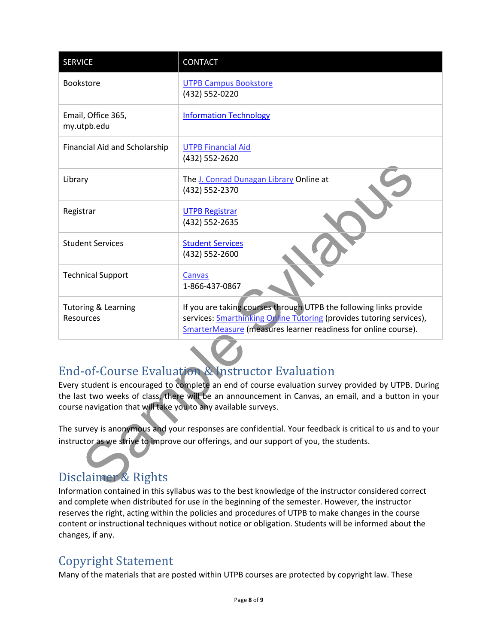| <b>SERVICE</b>                                                                                                                                                                                                                                                                | <b>CONTACT</b>                                                                                                                                                                                                      |  |  |  |
|-------------------------------------------------------------------------------------------------------------------------------------------------------------------------------------------------------------------------------------------------------------------------------|---------------------------------------------------------------------------------------------------------------------------------------------------------------------------------------------------------------------|--|--|--|
| <b>Bookstore</b>                                                                                                                                                                                                                                                              | <b>UTPB Campus Bookstore</b><br>(432) 552-0220                                                                                                                                                                      |  |  |  |
| Email, Office 365,<br>my.utpb.edu                                                                                                                                                                                                                                             | <b>Information Technology</b>                                                                                                                                                                                       |  |  |  |
| Financial Aid and Scholarship                                                                                                                                                                                                                                                 | <b>UTPB Financial Aid</b><br>(432) 552-2620                                                                                                                                                                         |  |  |  |
| Library                                                                                                                                                                                                                                                                       | The J. Conrad Dunagan Library Online at<br>(432) 552-2370                                                                                                                                                           |  |  |  |
| Registrar                                                                                                                                                                                                                                                                     | <b>UTPB Registrar</b><br>(432) 552-2635                                                                                                                                                                             |  |  |  |
| <b>Student Services</b>                                                                                                                                                                                                                                                       | <b>Student Services</b><br>(432) 552-2600                                                                                                                                                                           |  |  |  |
| <b>Technical Support</b>                                                                                                                                                                                                                                                      | Canvas<br>1-866-437-0867                                                                                                                                                                                            |  |  |  |
| <b>Tutoring &amp; Learning</b><br>Resources                                                                                                                                                                                                                                   | If you are taking courses through UTPB the following links provide<br>services: <b>Smarthinking Online Tutoring</b> (provides tutoring services),<br>SmarterMeasure (measures learner readiness for online course). |  |  |  |
|                                                                                                                                                                                                                                                                               |                                                                                                                                                                                                                     |  |  |  |
| <b>End-of-Course Evaluation &amp; Instructor Evaluation</b>                                                                                                                                                                                                                   |                                                                                                                                                                                                                     |  |  |  |
| Every student is encouraged to complete an end of course evaluation survey provided by UTPB. During<br>the last two weeks of class, there will be an announcement in Canvas, an email, and a button in your<br>course navigation that will take you to any available surveys. |                                                                                                                                                                                                                     |  |  |  |
| The survey is anonymous and your responses are confidential. Your feedback is critical to us and to your                                                                                                                                                                      |                                                                                                                                                                                                                     |  |  |  |
| instructor as we strive to improve our offerings, and our support of you, the students.                                                                                                                                                                                       |                                                                                                                                                                                                                     |  |  |  |
| Disclaimer & Rights                                                                                                                                                                                                                                                           |                                                                                                                                                                                                                     |  |  |  |

# End-of-Course Evaluation & Instructor Evaluation

# Disclaimer & Rights

Information contained in this syllabus was to the best knowledge of the instructor considered correct and complete when distributed for use in the beginning of the semester. However, the instructor reserves the right, acting within the policies and procedures of UTPB to make changes in the course content or instructional techniques without notice or obligation. Students will be informed about the changes, if any.

# Copyright Statement

Many of the materials that are posted within UTPB courses are protected by copyright law. These